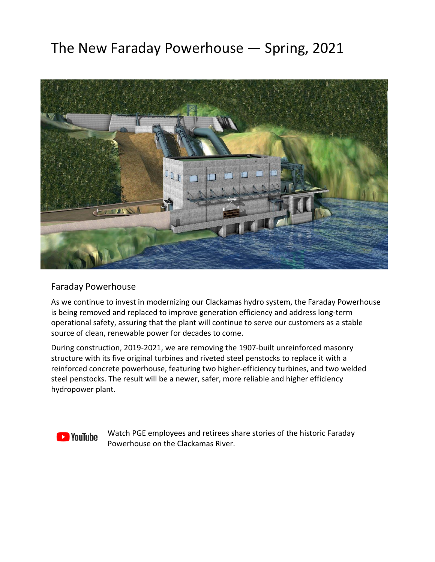## The New Faraday Powerhouse — Spring, 2021



## Faraday Powerhouse

As we continue to invest in modernizing our Clackamas hydro system, the Faraday Powerhouse is being removed and replaced to improve generation efficiency and address long-term operational safety, assuring that the plant will continue to serve our customers as a stable source of clean, renewable power for decades to come.

During construction, 2019-2021, we are removing the 1907-built unreinforced masonry structure with its five original turbines and riveted steel penstocks to replace it with a reinforced concrete powerhouse, featuring two higher-efficiency turbines, and two welded steel penstocks. The result will be a newer, safer, more reliable and higher efficiency hydropower plant.



Watch PGE employees and retirees share stories of the historic Faraday Powerhouse on the Clackamas River.